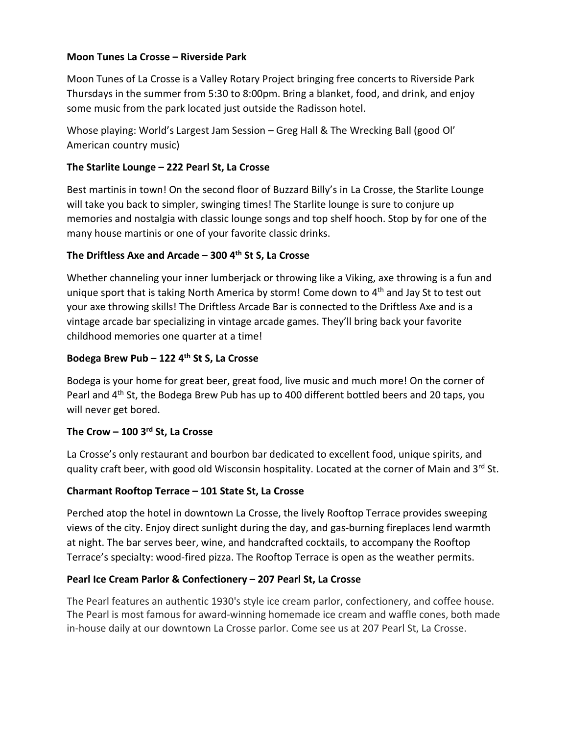## **Moon Tunes La Crosse – Riverside Park**

Moon Tunes of La Crosse is a Valley Rotary Project bringing free concerts to Riverside Park Thursdays in the summer from 5:30 to 8:00pm. Bring a blanket, food, and drink, and enjoy some music from the park located just outside the Radisson hotel.

Whose playing: World's Largest Jam Session – Greg Hall & The Wrecking Ball (good Ol' American country music)

## **The Starlite Lounge – 222 Pearl St, La Crosse**

Best martinis in town! On the second floor of Buzzard Billy's in La Crosse, the Starlite Lounge will take you back to simpler, swinging times! The Starlite lounge is sure to conjure up memories and nostalgia with classic lounge songs and top shelf hooch. Stop by for one of the many house martinis or one of your favorite classic drinks.

## **The Driftless Axe and Arcade – 300 4th St S, La Crosse**

Whether channeling your inner lumberjack or throwing like a Viking, axe throwing is a fun and unique sport that is taking North America by storm! Come down to 4<sup>th</sup> and Jay St to test out your axe throwing skills! The Driftless Arcade Bar is connected to the Driftless Axe and is a vintage arcade bar specializing in vintage arcade games. They'll bring back your favorite childhood memories one quarter at a time!

### **Bodega Brew Pub – 122 4th St S, La Crosse**

Bodega is your home for great beer, great food, live music and much more! On the corner of Pearl and  $4<sup>th</sup>$  St, the Bodega Brew Pub has up to 400 different bottled beers and 20 taps, you will never get bored.

### **The Crow – 100 3rd St, La Crosse**

La Crosse's only restaurant and bourbon bar dedicated to excellent food, unique spirits, and quality craft beer, with good old Wisconsin hospitality. Located at the corner of Main and 3rd St.

# **Charmant Rooftop Terrace – 101 State St, La Crosse**

Perched atop the hotel in downtown La Crosse, the lively Rooftop Terrace provides sweeping views of the city. Enjoy direct sunlight during the day, and gas-burning fireplaces lend warmth at night. The bar serves beer, wine, and handcrafted cocktails, to accompany the Rooftop Terrace's specialty: wood-fired pizza. The Rooftop Terrace is open as the weather permits.

# **Pearl Ice Cream Parlor & Confectionery – 207 Pearl St, La Crosse**

The Pearl features an authentic 1930's style ice cream parlor, confectionery, and coffee house. The Pearl is most famous for award-winning homemade ice cream and waffle cones, both made in-house daily at our downtown La Crosse parlor. Come see us at 207 Pearl St, La Crosse.